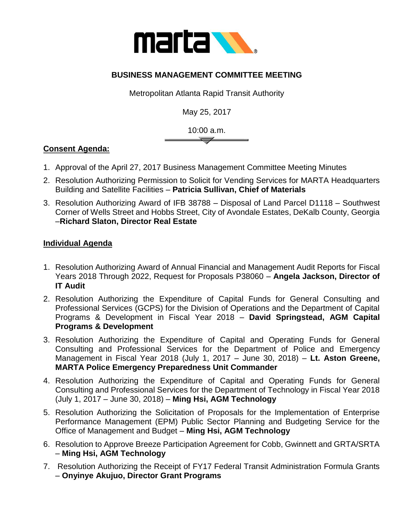

## **BUSINESS MANAGEMENT COMMITTEE MEETING**

Metropolitan Atlanta Rapid Transit Authority

May 25, 2017

10:00 a.m.

## **Consent Agenda:**

- 1. Approval of the April 27, 2017 Business Management Committee Meeting Minutes
- 2. Resolution Authorizing Permission to Solicit for Vending Services for MARTA Headquarters Building and Satellite Facilities – **Patricia Sullivan, Chief of Materials**
- 3. Resolution Authorizing Award of IFB 38788 Disposal of Land Parcel D1118 Southwest Corner of Wells Street and Hobbs Street, City of Avondale Estates, DeKalb County, Georgia –**Richard Slaton, Director Real Estate**

## **Individual Agenda**

- 1. Resolution Authorizing Award of Annual Financial and Management Audit Reports for Fiscal Years 2018 Through 2022, Request for Proposals P38060 – **Angela Jackson, Director of IT Audit**
- 2. Resolution Authorizing the Expenditure of Capital Funds for General Consulting and Professional Services (GCPS) for the Division of Operations and the Department of Capital Programs & Development in Fiscal Year 2018 – **David Springstead, AGM Capital Programs & Development**
- 3. Resolution Authorizing the Expenditure of Capital and Operating Funds for General Consulting and Professional Services for the Department of Police and Emergency Management in Fiscal Year 2018 (July 1, 2017 – June 30, 2018) – **Lt. Aston Greene, MARTA Police Emergency Preparedness Unit Commander**
- 4. Resolution Authorizing the Expenditure of Capital and Operating Funds for General Consulting and Professional Services for the Department of Technology in Fiscal Year 2018 (July 1, 2017 – June 30, 2018) – **Ming Hsi, AGM Technology**
- 5. Resolution Authorizing the Solicitation of Proposals for the Implementation of Enterprise Performance Management (EPM) Public Sector Planning and Budgeting Service for the Office of Management and Budget – **Ming Hsi, AGM Technology**
- 6. Resolution to Approve Breeze Participation Agreement for Cobb, Gwinnett and GRTA/SRTA – **Ming Hsi, AGM Technology**
- 7. Resolution Authorizing the Receipt of FY17 Federal Transit Administration Formula Grants – **Onyinye Akujuo, Director Grant Programs**